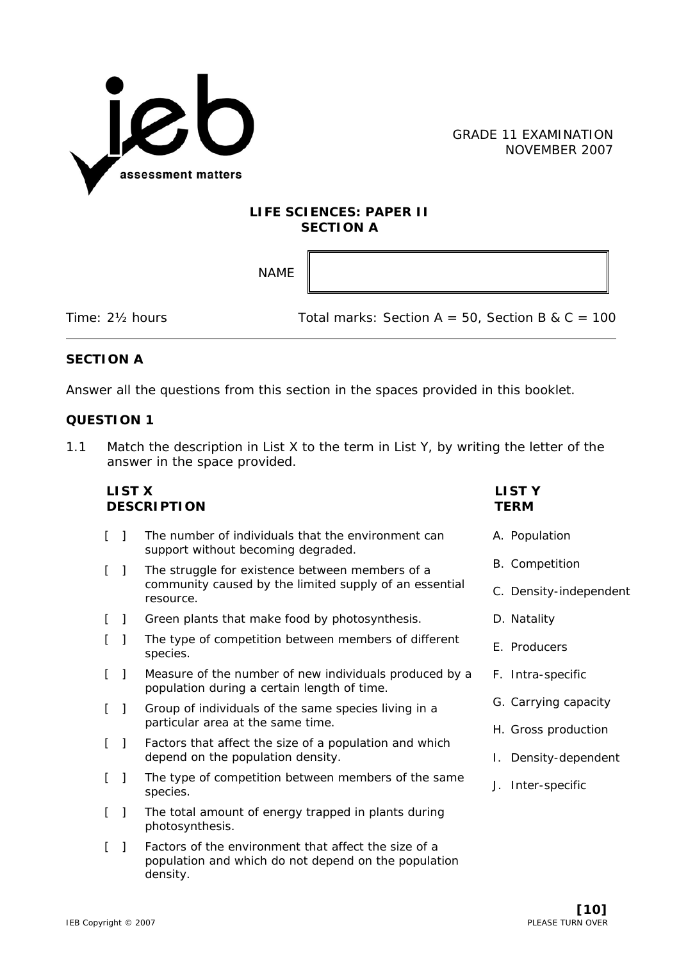

## **LIFE SCIENCES: PAPER II SECTION A**

NAME

Time:  $2\frac{1}{2}$  hours Total marks: Section A = 50, Section B & C = 100

## **SECTION A**

Answer all the questions from this section in the spaces provided in this booklet.

## **QUESTION 1**

1.1 Match the description in List X to the term in List Y, by writing the letter of the answer in the space provided.

| <b>LIST X</b>       | <b>DESCRIPTION</b>                                                                                                       | <b>LISTY</b><br><b>TERM</b> |
|---------------------|--------------------------------------------------------------------------------------------------------------------------|-----------------------------|
| L<br>- 1            | The number of individuals that the environment can<br>support without becoming degraded.                                 | A. Population               |
| L<br>$\mathbf{I}$   | The struggle for existence between members of a                                                                          | <b>B.</b> Competition       |
|                     | community caused by the limited supply of an essential<br>resource.                                                      | C. Density-independent      |
| L<br>$\blacksquare$ | Green plants that make food by photosynthesis.                                                                           | D. Natality                 |
| $\perp$             | The type of competition between members of different<br>species.                                                         | E. Producers                |
| L<br>$\mathbf{I}$   | Measure of the number of new individuals produced by a<br>population during a certain length of time.                    | F. Intra-specific           |
| L<br>$\perp$        | Group of individuals of the same species living in a                                                                     | G. Carrying capacity        |
|                     | particular area at the same time.                                                                                        | H. Gross production         |
| L<br>$\perp$        | Factors that affect the size of a population and which<br>depend on the population density.                              | I. Density-dependent        |
| L<br>-1             | The type of competition between members of the same<br>species.                                                          | J. Inter-specific           |
| L<br>$\mathbf{I}$   | The total amount of energy trapped in plants during<br>photosynthesis.                                                   |                             |
| L<br>-1             | Factors of the environment that affect the size of a<br>population and which do not depend on the population<br>density. |                             |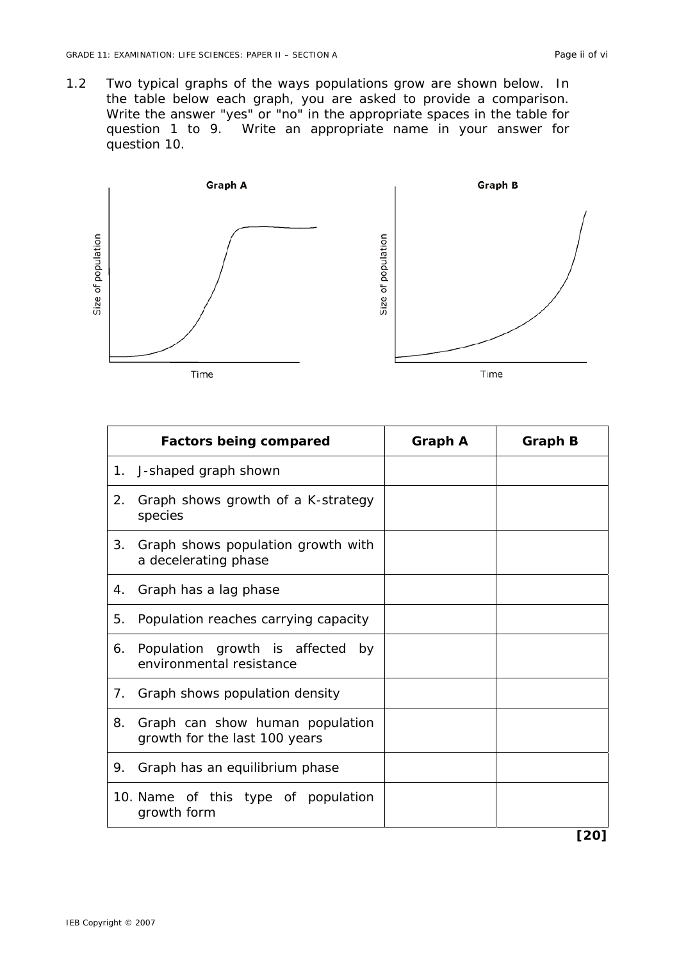1.2 Two typical graphs of the ways populations grow are shown below. In the table below each graph, you are asked to provide a comparison. Write the answer "yes" or "no" in the appropriate spaces in the table for question 1 to 9. Write an appropriate name in your answer for question 10.



| <b>Factors being compared</b>                                          | <b>Graph A</b> | <b>Graph B</b> |
|------------------------------------------------------------------------|----------------|----------------|
| 1. J-shaped graph shown                                                |                |                |
| Graph shows growth of a K-strategy<br>2.<br>species                    |                |                |
| Graph shows population growth with<br>3.<br>a decelerating phase       |                |                |
| 4. Graph has a lag phase                                               |                |                |
| Population reaches carrying capacity<br>5.                             |                |                |
| 6. Population growth is affected by<br>environmental resistance        |                |                |
| Graph shows population density<br>7.                                   |                |                |
| Graph can show human population<br>8.<br>growth for the last 100 years |                |                |
| 9. Graph has an equilibrium phase                                      |                |                |
| 10. Name of this type of population<br>growth form                     |                |                |
|                                                                        |                | [20]           |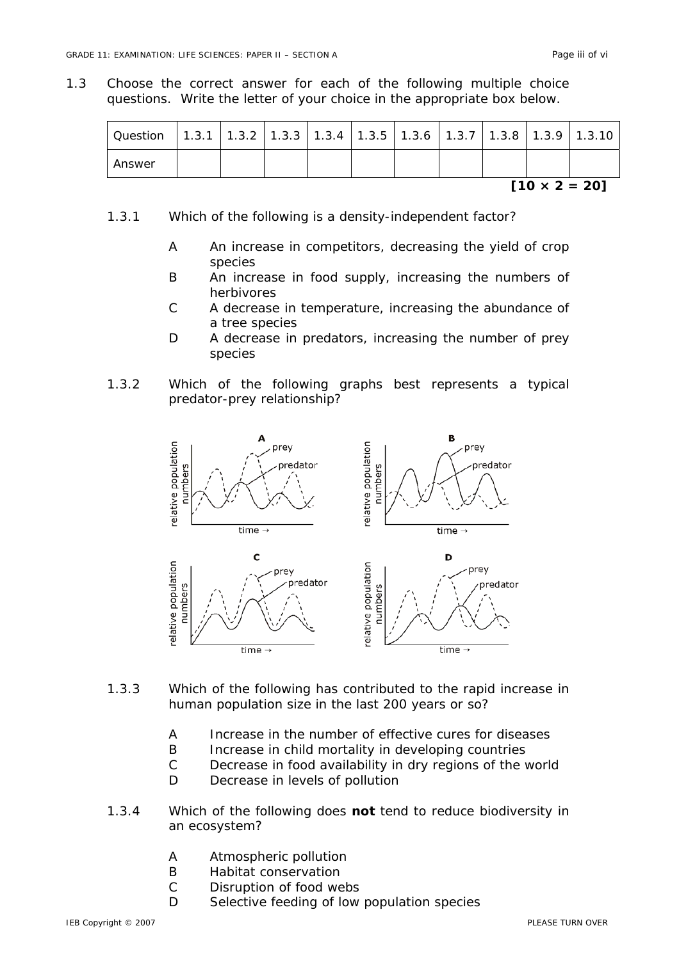1.3 Choose the correct answer for each of the following multiple choice questions. Write the letter of your choice in the appropriate box below.

| Question |  |  | $\vert$ 1.3.1 $\vert$ 1.3.2 $\vert$ 1.3.3 $\vert$ 1.3.4 $\vert$ 1.3.5 $\vert$ 1.3.6 $\vert$ 1.3.7 $\vert$ 1.3.8 $\vert$ 1.3.9 $\vert$ |  |  |
|----------|--|--|---------------------------------------------------------------------------------------------------------------------------------------|--|--|
| Answer   |  |  |                                                                                                                                       |  |  |

- 1.3.1 Which of the following is a density-independent factor?
	- A An increase in competitors, decreasing the yield of crop species
	- B An increase in food supply, increasing the numbers of herbivores
	- C A decrease in temperature, increasing the abundance of a tree species
	- D A decrease in predators, increasing the number of prey species
- 1.3.2 Which of the following graphs best represents a typical predator-prey relationship?



- 1.3.3 Which of the following has contributed to the rapid increase in human population size in the last 200 years or so?
	- A Increase in the number of effective cures for diseases
	- B Increase in child mortality in developing countries
	- C Decrease in food availability in dry regions of the world
	- D Decrease in levels of pollution
- 1.3.4 Which of the following does **not** tend to reduce biodiversity in an ecosystem?
	- A Atmospheric pollution
	- B Habitat conservation
	- C Disruption of food webs
	- D Selective feeding of low population species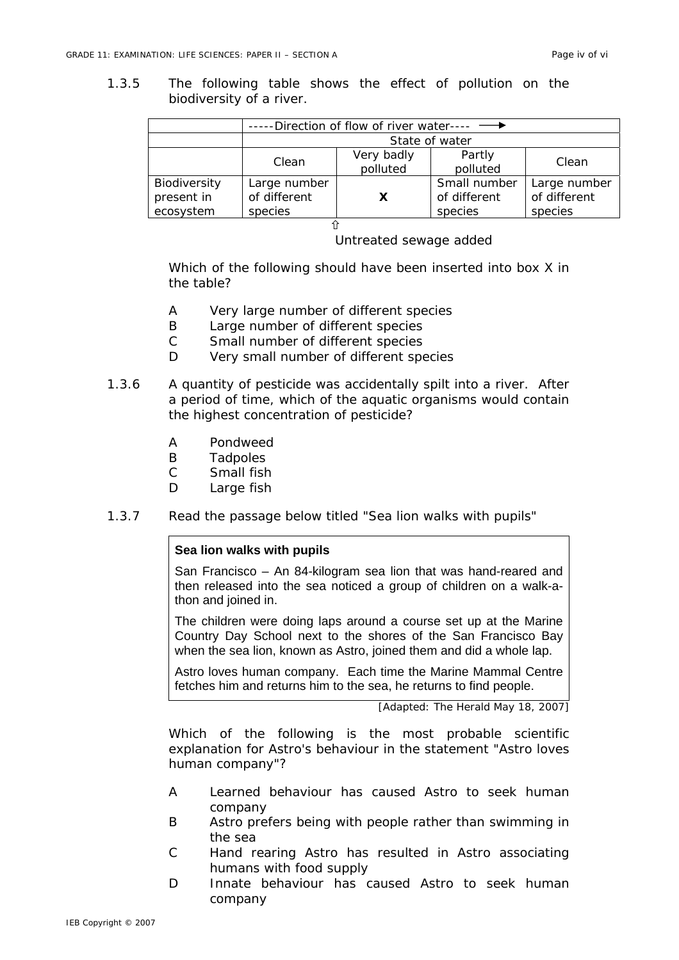1.3.5 The following table shows the effect of pollution on the biodiversity of a river.

|              | ---Direction of flow of river water---- - |            |              |              |  |
|--------------|-------------------------------------------|------------|--------------|--------------|--|
|              | State of water                            |            |              |              |  |
|              | Clean                                     | Very badly | Partly       | Clean        |  |
|              |                                           | polluted   | polluted     |              |  |
| Biodiversity | Large number                              |            | Small number | Large number |  |
| present in   | of different                              | X          | of different | of different |  |
| ecosystem    | species                                   |            | species      | species      |  |
|              |                                           |            |              |              |  |

Untreated sewage added

Which of the following should have been inserted into box X in the table?

- A Very large number of different species
- B Large number of different species
- C Small number of different species
- D Very small number of different species
- 1.3.6 A quantity of pesticide was accidentally spilt into a river. After a period of time, which of the aquatic organisms would contain the highest concentration of pesticide?
	- A Pondweed
	- B Tadpoles
	- C Small fish
	- D Large fish
- 1.3.7 Read the passage below titled "Sea lion walks with pupils"

#### **Sea lion walks with pupils**

San Francisco – An 84-kilogram sea lion that was hand-reared and then released into the sea noticed a group of children on a walk-athon and joined in.

The children were doing laps around a course set up at the Marine Country Day School next to the shores of the San Francisco Bay when the sea lion, known as Astro, joined them and did a whole lap.

Astro loves human company. Each time the Marine Mammal Centre fetches him and returns him to the sea, he returns to find people.

[Adapted: The Herald May 18, 2007]

Which of the following is the most probable scientific explanation for Astro's behaviour in the statement "Astro loves human company"?

- A Learned behaviour has caused Astro to seek human company
- B Astro prefers being with people rather than swimming in the sea
- C Hand rearing Astro has resulted in Astro associating humans with food supply
- D Innate behaviour has caused Astro to seek human company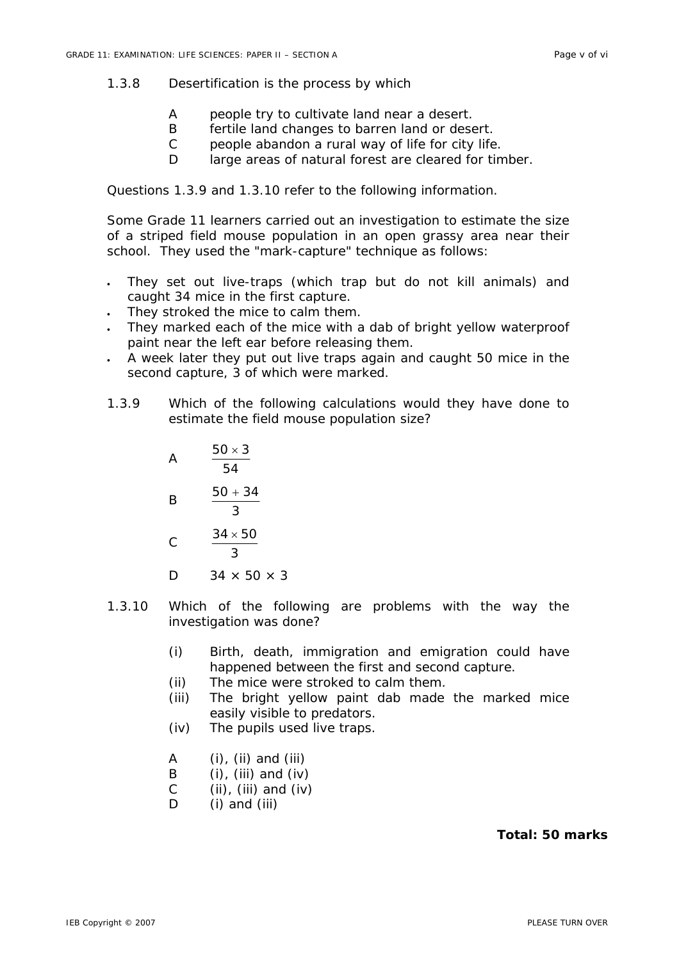## 1.3.8 Desertification is the process by which

- A people try to cultivate land near a desert.
- B fertile land changes to barren land or desert.
- C people abandon a rural way of life for city life.
- D large areas of natural forest are cleared for timber.

Questions 1.3.9 and 1.3.10 refer to the following information.

Some Grade 11 learners carried out an investigation to estimate the size of a striped field mouse population in an open grassy area near their school. They used the "mark-capture" technique as follows:

- They set out live-traps (which trap but do not kill animals) and caught 34 mice in the first capture.
- They stroked the mice to calm them.
- They marked each of the mice with a dab of bright yellow waterproof paint near the left ear before releasing them.
- A week later they put out live traps again and caught 50 mice in the second capture, 3 of which were marked.
- 1.3.9 Which of the following calculations would they have done to estimate the field mouse population size?
	- A 54  $50 \times 3$ B 3  $50 + 34$  $\mathcal{C}$ 3  $34 \times 50$
	- D  $34 \times 50 \times 3$
- 1.3.10 Which of the following are problems with the way the investigation was done?
	- (i) Birth, death, immigration and emigration could have happened between the first and second capture.
	- (ii) The mice were stroked to calm them.
	- (iii) The bright yellow paint dab made the marked mice easily visible to predators.
	- (iv) The pupils used live traps.
	- $A$  (i), (ii) and (iii)
	- B  $(i)$ ,  $(iii)$  and  $(iv)$
	- C (ii), (iii) and (iv)
	- D (i) and (iii)

### **Total: 50 marks**